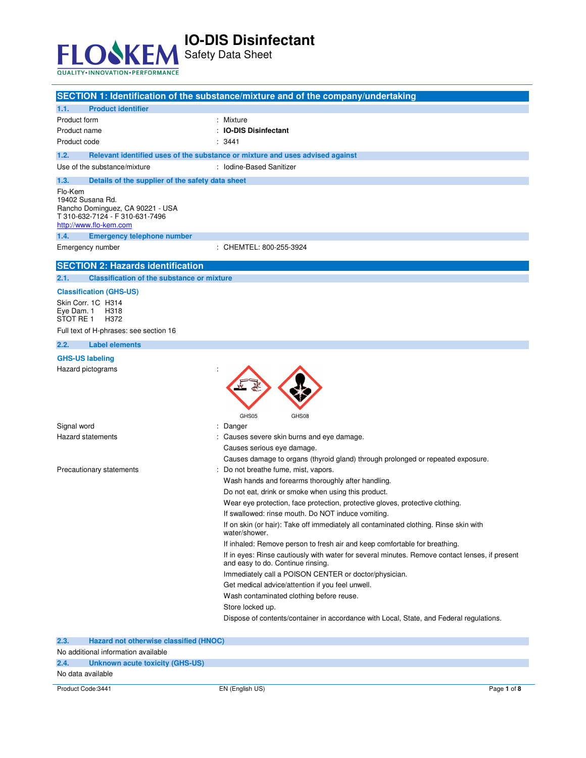

Safety Data Sheet

|                                                                     | SECTION 1: Identification of the substance/mixture and of the company/undertaking                      |
|---------------------------------------------------------------------|--------------------------------------------------------------------------------------------------------|
| <b>Product identifier</b><br>1.1.                                   |                                                                                                        |
| Product form                                                        | : Mixture                                                                                              |
| Product name                                                        | <b>IO-DIS Disinfectant</b>                                                                             |
| Product code                                                        | : 3441                                                                                                 |
| 1.2.                                                                | Relevant identified uses of the substance or mixture and uses advised against                          |
| Use of the substance/mixture                                        | : Iodine-Based Sanitizer                                                                               |
| 1.3.<br>Details of the supplier of the safety data sheet            |                                                                                                        |
| Flo-Kem                                                             |                                                                                                        |
| 19402 Susana Rd.                                                    |                                                                                                        |
| Rancho Dominguez, CA 90221 - USA<br>T 310-632-7124 - F 310-631-7496 |                                                                                                        |
| http://www.flo-kem.com                                              |                                                                                                        |
| 1.4.<br><b>Emergency telephone number</b>                           |                                                                                                        |
| Emergency number                                                    | : CHEMTEL: 800-255-3924                                                                                |
| <b>SECTION 2: Hazards identification</b>                            |                                                                                                        |
|                                                                     |                                                                                                        |
| <b>Classification of the substance or mixture</b><br>2.1.           |                                                                                                        |
| <b>Classification (GHS-US)</b>                                      |                                                                                                        |
| Skin Corr. 1C H314<br>Eye Dam. 1<br>H318                            |                                                                                                        |
| STOT RE 1<br>H372                                                   |                                                                                                        |
| Full text of H-phrases: see section 16                              |                                                                                                        |
| 2.2.<br><b>Label elements</b>                                       |                                                                                                        |
| <b>GHS-US labeling</b>                                              |                                                                                                        |
| Hazard pictograms                                                   |                                                                                                        |
|                                                                     |                                                                                                        |
|                                                                     |                                                                                                        |
|                                                                     |                                                                                                        |
|                                                                     | GHS05<br>GHS08                                                                                         |
| Signal word                                                         | : Danger                                                                                               |
| <b>Hazard statements</b>                                            | : Causes severe skin burns and eye damage.                                                             |
|                                                                     | Causes serious eye damage.                                                                             |
|                                                                     | Causes damage to organs (thyroid gland) through prolonged or repeated exposure.                        |
| Precautionary statements                                            | Do not breathe fume, mist, vapors.                                                                     |
|                                                                     | Wash hands and forearms thoroughly after handling.                                                     |
|                                                                     | Do not eat, drink or smoke when using this product.                                                    |
|                                                                     | Wear eye protection, face protection, protective gloves, protective clothing.                          |
|                                                                     | If swallowed: rinse mouth. Do NOT induce vomiting.                                                     |
|                                                                     | If on skin (or hair): Take off immediately all contaminated clothing. Rinse skin with<br>water/shower. |
|                                                                     | If inhaled: Remove person to fresh air and keep comfortable for breathing.                             |
|                                                                     | If in eyes: Rinse cautiously with water for several minutes. Remove contact lenses, if present         |
|                                                                     | and easy to do. Continue rinsing.                                                                      |
|                                                                     | Immediately call a POISON CENTER or doctor/physician.                                                  |
|                                                                     | Get medical advice/attention if you feel unwell.                                                       |
|                                                                     | Wash contaminated clothing before reuse.                                                               |
|                                                                     | Store locked up.                                                                                       |
|                                                                     | Dispose of contents/container in accordance with Local, State, and Federal regulations.                |
|                                                                     |                                                                                                        |
| 2.3.<br>Hazard not otherwise classified (HNOC)                      |                                                                                                        |
| No odditional information quailable                                 |                                                                                                        |

| Product Code:3441 |                                               | EN (English US) | Page 1 of 8 |
|-------------------|-----------------------------------------------|-----------------|-------------|
|                   | No data available                             |                 |             |
| 2.4.              | Unknown acute toxicity (GHS-US)               |                 |             |
|                   | No additional information available           |                 |             |
| -2.3.             | <b>Hazard not otherwise classified (HNOC)</b> |                 |             |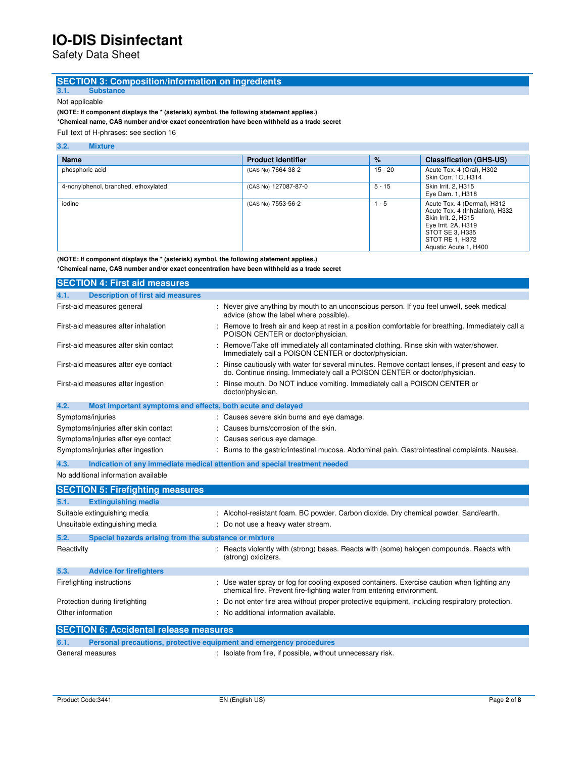Safety Data Sheet

# **SECTION 3: Composition/information on ingredients**

**3.1. Substance**  Not applicable

**(NOTE: If component displays the \* (asterisk) symbol, the following statement applies.) \*Chemical name, CAS number and/or exact concentration have been withheld as a trade secret** 

Full text of H-phrases: see section 16

#### **3.2. Mixture**

| <b>Name</b>                          | <b>Product identifier</b> | $\%$      | <b>Classification (GHS-US)</b>                                                                                                                                              |
|--------------------------------------|---------------------------|-----------|-----------------------------------------------------------------------------------------------------------------------------------------------------------------------------|
| phosphoric acid                      | (CAS No) 7664-38-2        | $15 - 20$ | Acute Tox. 4 (Oral), H302<br>Skin Corr. 1C, H314                                                                                                                            |
| 4-nonylphenol, branched, ethoxylated | (CAS No) 127087-87-0      | $5 - 15$  | Skin Irrit. 2. H315<br>Eye Dam. 1, H318                                                                                                                                     |
| iodine                               | (CAS No) 7553-56-2        | $1 - 5$   | Acute Tox. 4 (Dermal), H312<br>Acute Tox. 4 (Inhalation), H332<br>Skin Irrit. 2, H315<br>Eye Irrit. 2A, H319<br>STOT SE 3. H335<br>STOT RE 1, H372<br>Aquatic Acute 1, H400 |

**(NOTE: If component displays the \* (asterisk) symbol, the following statement applies.)** 

**\*Chemical name, CAS number and/or exact concentration have been withheld as a trade secret**

| <b>SECTION 4: First aid measures</b>                                |                                                                                                                                                                               |
|---------------------------------------------------------------------|-------------------------------------------------------------------------------------------------------------------------------------------------------------------------------|
| <b>Description of first aid measures</b><br>4.1.                    |                                                                                                                                                                               |
| First-aid measures general                                          | : Never give anything by mouth to an unconscious person. If you feel unwell, seek medical<br>advice (show the label where possible).                                          |
| First-aid measures after inhalation                                 | Remove to fresh air and keep at rest in a position comfortable for breathing. Immediately call a<br>POISON CENTER or doctor/physician.                                        |
| First-aid measures after skin contact                               | Remove/Take off immediately all contaminated clothing. Rinse skin with water/shower.<br>Immediately call a POISON CENTER or doctor/physician.                                 |
| First-aid measures after eye contact                                | Rinse cautiously with water for several minutes. Remove contact lenses, if present and easy to<br>do. Continue rinsing. Immediately call a POISON CENTER or doctor/physician. |
| First-aid measures after ingestion                                  | Rinse mouth. Do NOT induce vomiting. Immediately call a POISON CENTER or<br>doctor/physician.                                                                                 |
| 4.2.<br>Most important symptoms and effects, both acute and delayed |                                                                                                                                                                               |
| Symptoms/injuries                                                   | : Causes severe skin burns and eye damage.                                                                                                                                    |
| Symptoms/injuries after skin contact                                | : Causes burns/corrosion of the skin.                                                                                                                                         |
| Symptoms/injuries after eye contact                                 | : Causes serious eye damage.                                                                                                                                                  |
| Symptoms/injuries after ingestion                                   | Burns to the gastric/intestinal mucosa. Abdominal pain. Gastrointestinal complaints. Nausea.                                                                                  |

**4.3. Indication of any immediate medical attention and special treatment needed** 

No additional information available

|                                               | <b>SECTION 5: Firefighting measures</b>               |                                                                                                                                                                      |  |
|-----------------------------------------------|-------------------------------------------------------|----------------------------------------------------------------------------------------------------------------------------------------------------------------------|--|
| 5.1.<br><b>Extinguishing media</b>            |                                                       |                                                                                                                                                                      |  |
| Suitable extinguishing media                  |                                                       | : Alcohol-resistant foam. BC powder. Carbon dioxide. Dry chemical powder. Sand/earth.                                                                                |  |
| Unsuitable extinguishing media                |                                                       | : Do not use a heavy water stream.                                                                                                                                   |  |
| 5.2.                                          | Special hazards arising from the substance or mixture |                                                                                                                                                                      |  |
| Reactivity                                    |                                                       | Reacts violently with (strong) bases. Reacts with (some) halogen compounds. Reacts with<br>(strong) oxidizers.                                                       |  |
| 5.3.<br><b>Advice for firefighters</b>        |                                                       |                                                                                                                                                                      |  |
| Firefighting instructions                     |                                                       | : Use water spray or fog for cooling exposed containers. Exercise caution when fighting any<br>chemical fire. Prevent fire-fighting water from entering environment. |  |
| Protection during firefighting                |                                                       | : Do not enter fire area without proper protective equipment, including respiratory protection.                                                                      |  |
| Other information                             |                                                       | : No additional information available.                                                                                                                               |  |
| <b>SECTION 6: Accidental release measures</b> |                                                       |                                                                                                                                                                      |  |
| 6.1.                                          |                                                       | Personal precautions, protective equipment and emergency procedures                                                                                                  |  |

|                  | <u>and a second broadway to a second and the second and and and and and and a second dans a broad and second a second</u> |
|------------------|---------------------------------------------------------------------------------------------------------------------------|
| General measures | : Isolate from fire, if possible, without unnecessary risk.                                                               |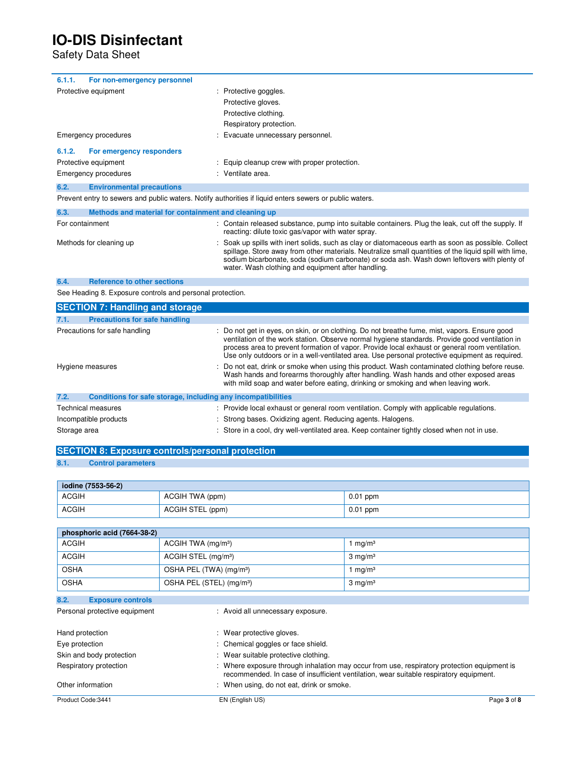Safety Data Sheet

| For non-emergency personnel<br>6.1.1.    |                                            |
|------------------------------------------|--------------------------------------------|
| Protective equipment                     | Protective goggles.                        |
|                                          | Protective gloves.                         |
|                                          | Protective clothing.                       |
|                                          | Respiratory protection.                    |
| Emergency procedures                     | Evacuate unnecessary personnel.            |
| For emergency responders<br>6.1.2.       |                                            |
| Protective equipment                     | Equip cleanup crew with proper protection. |
| Emergency procedures                     | : Ventilate area.                          |
| 6.2.<br><b>Environmental precautions</b> |                                            |
|                                          |                                            |

Prevent entry to sewers and public waters. Notify authorities if liquid enters sewers or public waters.

| 6.3.            | Methods and material for containment and cleaning up |                                                                                                                                                                                                                                                                                                                                                                   |
|-----------------|------------------------------------------------------|-------------------------------------------------------------------------------------------------------------------------------------------------------------------------------------------------------------------------------------------------------------------------------------------------------------------------------------------------------------------|
| For containment |                                                      | : Contain released substance, pump into suitable containers. Plug the leak, cut off the supply. If<br>reacting: dilute toxic gas/vapor with water spray.                                                                                                                                                                                                          |
|                 | Methods for cleaning up                              | : Soak up spills with inert solids, such as clay or diatomaceous earth as soon as possible. Collect<br>spillage. Store away from other materials. Neutralize small quantities of the liquid spill with lime,<br>sodium bicarbonate, soda (sodium carbonate) or soda ash. Wash down leftovers with plenty of<br>water. Wash clothing and equipment after handling. |

### **6.4. Reference to other sections**

See Heading 8. Exposure controls and personal protection.

| <b>SECTION 7: Handling and storage</b>                               |                                                                                                                                                                                                                                                                                                                                                                                                     |
|----------------------------------------------------------------------|-----------------------------------------------------------------------------------------------------------------------------------------------------------------------------------------------------------------------------------------------------------------------------------------------------------------------------------------------------------------------------------------------------|
| 7.1.<br><b>Precautions for safe handling</b>                         |                                                                                                                                                                                                                                                                                                                                                                                                     |
| Precautions for safe handling                                        | : Do not get in eyes, on skin, or on clothing. Do not breathe fume, mist, vapors. Ensure good<br>ventilation of the work station. Observe normal hygiene standards. Provide good ventilation in<br>process area to prevent formation of vapor. Provide local exhaust or general room ventilation.<br>Use only outdoors or in a well-ventilated area. Use personal protective equipment as required. |
| Hygiene measures                                                     | : Do not eat, drink or smoke when using this product. Wash contaminated clothing before reuse.<br>Wash hands and forearms thoroughly after handling. Wash hands and other exposed areas<br>with mild soap and water before eating, drinking or smoking and when leaving work.                                                                                                                       |
| 7.2.<br>Conditions for safe storage, including any incompatibilities |                                                                                                                                                                                                                                                                                                                                                                                                     |
| <b>Technical measures</b>                                            | : Provide local exhaust or general room ventilation. Comply with applicable regulations.                                                                                                                                                                                                                                                                                                            |
| Incompatible products                                                | : Strong bases. Oxidizing agent. Reducing agents. Halogens.                                                                                                                                                                                                                                                                                                                                         |
| Storage area                                                         | : Store in a cool, dry well-ventilated area. Keep container tightly closed when not in use.                                                                                                                                                                                                                                                                                                         |

# **SECTION 8: Exposure controls/personal protection**

### **8.1. Control parameters**

| iodine (7553-56-2) |                  |            |
|--------------------|------------------|------------|
| <b>ACGIH</b>       | ACGIH TWA (ppm)  | $0.01$ ppm |
| <b>ACGIH</b>       | ACGIH STEL (ppm) | $0.01$ ppm |

| phosphoric acid (7664-38-2)      |                                      |                    |
|----------------------------------|--------------------------------------|--------------------|
| <b>ACGIH</b>                     | ACGIH TWA $(mg/m3)$                  | mq/m <sup>3</sup>  |
| <b>ACGIH</b>                     | ACGIH STEL (mg/m <sup>3</sup> )      | $3 \text{ mg/m}^3$ |
| <b>OSHA</b>                      | OSHA PEL (TWA) (mg/m <sup>3</sup> )  | 1 mg/m $3$         |
| <b>OSHA</b>                      | OSHA PEL (STEL) (mg/m <sup>3</sup> ) | $3 \text{ mg/m}^3$ |
| 8.2.<br><b>Exposure controls</b> |                                      |                    |
| Personal protective equipment    | : Avoid all unnecessary exposure.    |                    |

| Hand protection          | : Wear protective gloves.                                                                                                                                                           |             |
|--------------------------|-------------------------------------------------------------------------------------------------------------------------------------------------------------------------------------|-------------|
| Eye protection           | : Chemical goggles or face shield.                                                                                                                                                  |             |
| Skin and body protection | : Wear suitable protective clothing.                                                                                                                                                |             |
| Respiratory protection   | Where exposure through inhalation may occur from use, respiratory protection equipment is<br>recommended. In case of insufficient ventilation, wear suitable respiratory equipment. |             |
| Other information        | When using, do not eat, drink or smoke.                                                                                                                                             |             |
| Product Code: 3441       | EN (English US)                                                                                                                                                                     | Page 3 of 8 |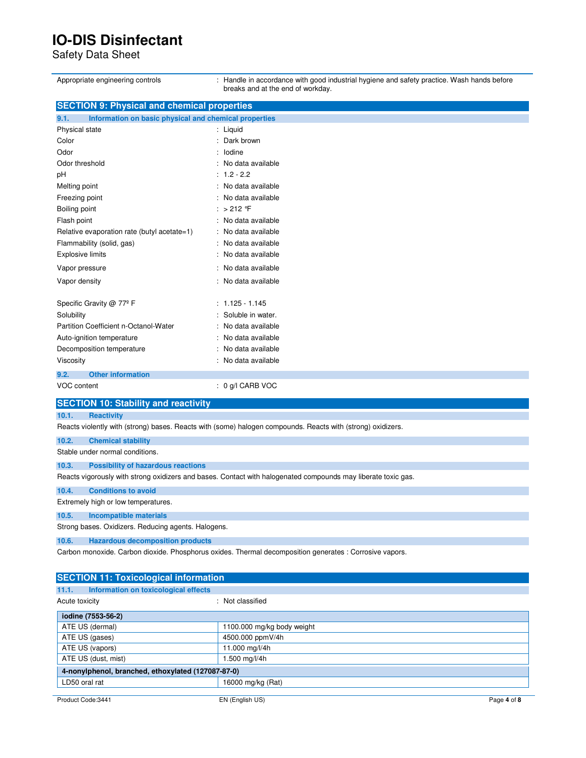Safety Data Sheet

| Appropriate engineering controls                              | : Handle in accordance with good industrial hygiene and safety practice. Wash hands before<br>breaks and at the end of workday. |
|---------------------------------------------------------------|---------------------------------------------------------------------------------------------------------------------------------|
| <b>SECTION 9: Physical and chemical properties</b>            |                                                                                                                                 |
| 9.1.<br>Information on basic physical and chemical properties |                                                                                                                                 |
| Physical state                                                | : Liquid                                                                                                                        |
| Color                                                         | Dark brown                                                                                                                      |
| Odor                                                          | lodine                                                                                                                          |
| Odor threshold                                                | No data available                                                                                                               |
| рH                                                            | $: 1.2 - 2.2$                                                                                                                   |
| Melting point                                                 | No data available                                                                                                               |
| Freezing point                                                | No data available                                                                                                               |
| Boiling point                                                 | : $>212$ F                                                                                                                      |
| Flash point                                                   | : No data available                                                                                                             |
| Relative evaporation rate (butyl acetate=1)                   | No data available                                                                                                               |
| Flammability (solid, gas)                                     | No data available                                                                                                               |
| <b>Explosive limits</b>                                       | No data available                                                                                                               |
| Vapor pressure                                                | No data available                                                                                                               |
| Vapor density                                                 | No data available                                                                                                               |
|                                                               |                                                                                                                                 |
| Specific Gravity @ 77º F                                      | $: 1.125 - 1.145$                                                                                                               |
| Solubility                                                    | Soluble in water.                                                                                                               |
| Partition Coefficient n-Octanol-Water                         | No data available                                                                                                               |
| Auto-ignition temperature                                     | No data available                                                                                                               |
| Decomposition temperature                                     | No data available                                                                                                               |
| Viscosity                                                     | No data available                                                                                                               |
|                                                               |                                                                                                                                 |
| 9.2.<br><b>Other information</b>                              |                                                                                                                                 |
| VOC content                                                   | $: 0$ g/l CARB VOC                                                                                                              |
| <b>SECTION 10: Stability and reactivity</b>                   |                                                                                                                                 |
| 10.1.<br><b>Reactivity</b>                                    |                                                                                                                                 |
|                                                               | Reacts violently with (strong) bases. Reacts with (some) halogen compounds. Reacts with (strong) oxidizers.                     |
| 10.2.<br><b>Chemical stability</b>                            |                                                                                                                                 |
| Stable under normal conditions.                               |                                                                                                                                 |
| 10.3.<br><b>Possibility of hazardous reactions</b>            |                                                                                                                                 |
|                                                               | Reacts vigorously with strong oxidizers and bases. Contact with halogenated compounds may liberate toxic gas.                   |
| 10.4.<br><b>Conditions to avoid</b>                           |                                                                                                                                 |
| Extremely high or low temperatures.                           |                                                                                                                                 |
|                                                               |                                                                                                                                 |
| 10.5.<br><b>Incompatible materials</b>                        |                                                                                                                                 |
| Strong bases. Oxidizers. Reducing agents. Halogens.           |                                                                                                                                 |
| 10.6.<br><b>Hazardous decomposition products</b>              |                                                                                                                                 |
|                                                               | Carbon monoxide. Carbon dioxide. Phosphorus oxides. Thermal decomposition generates : Corrosive vapors.                         |
|                                                               |                                                                                                                                 |
| <b>SECTION 11: Toxicological information</b>                  |                                                                                                                                 |
| Information on toxicological effects<br>11.1.                 |                                                                                                                                 |
| Acute toxicity                                                | : Not classified                                                                                                                |
| iodine (7553-56-2)                                            |                                                                                                                                 |
| ATE US (dermal)                                               | 1100.000 mg/kg body weight                                                                                                      |
| ATE US (gases)                                                | 4500.000 ppmV/4h                                                                                                                |
|                                                               |                                                                                                                                 |

| ATE US (vapors)                                    | 11.000 mg/l/4h    |
|----------------------------------------------------|-------------------|
| ATE US (dust, mist)                                | 1.500 mg/l/4h     |
| 4-nonylphenol, branched, ethoxylated (127087-87-0) |                   |
| LD50 oral rat                                      | 16000 mg/kg (Rat) |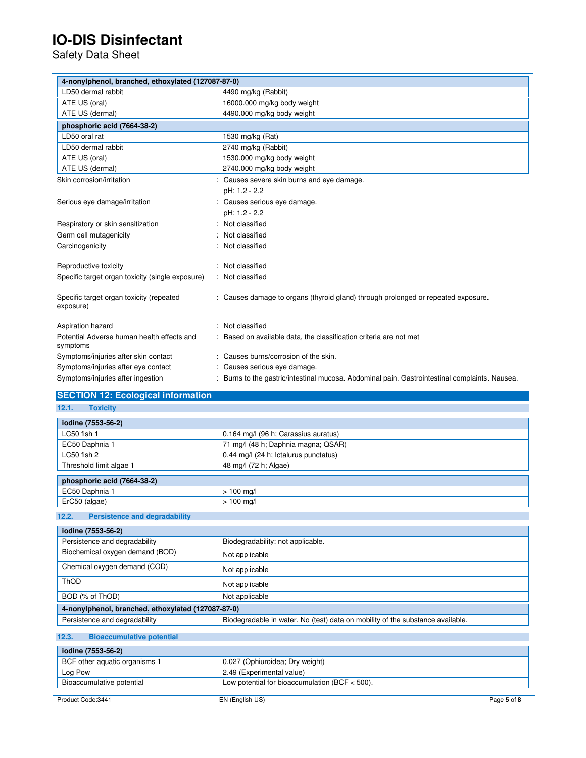Safety Data Sheet

| 4-nonylphenol, branched, ethoxylated (127087-87-0)     |                                                                                              |
|--------------------------------------------------------|----------------------------------------------------------------------------------------------|
| LD50 dermal rabbit                                     | 4490 mg/kg (Rabbit)                                                                          |
| ATE US (oral)                                          | 16000.000 mg/kg body weight                                                                  |
| ATE US (dermal)                                        | 4490.000 mg/kg body weight                                                                   |
| phosphoric acid (7664-38-2)                            |                                                                                              |
| LD50 oral rat                                          | 1530 mg/kg (Rat)                                                                             |
| LD50 dermal rabbit                                     | 2740 mg/kg (Rabbit)                                                                          |
| ATE US (oral)                                          | 1530.000 mg/kg body weight                                                                   |
| ATE US (dermal)                                        | 2740.000 mg/kg body weight                                                                   |
| Skin corrosion/irritation                              | : Causes severe skin burns and eye damage.                                                   |
|                                                        | pH: 1.2 - 2.2                                                                                |
| Serious eye damage/irritation                          | : Causes serious eye damage.                                                                 |
|                                                        | pH: 1.2 - 2.2                                                                                |
| Respiratory or skin sensitization                      | : Not classified                                                                             |
| Germ cell mutagenicity                                 | : Not classified                                                                             |
| Carcinogenicity                                        | : Not classified                                                                             |
| Reproductive toxicity                                  | : Not classified                                                                             |
| Specific target organ toxicity (single exposure)       | : Not classified                                                                             |
| Specific target organ toxicity (repeated<br>exposure)  | : Causes damage to organs (thyroid gland) through prolonged or repeated exposure.            |
| Aspiration hazard                                      | : Not classified                                                                             |
| Potential Adverse human health effects and<br>symptoms | : Based on available data, the classification criteria are not met                           |
| Symptoms/injuries after skin contact                   | : Causes burns/corrosion of the skin.                                                        |
| Symptoms/injuries after eye contact                    | : Causes serious eye damage.                                                                 |
| Symptoms/injuries after ingestion                      | Burns to the gastric/intestinal mucosa. Abdominal pain. Gastrointestinal complaints. Nausea. |

### **SECTION 12: Ecological information**

**12.1. Toxicity** 

| iodine (7553-56-2)          |                                       |
|-----------------------------|---------------------------------------|
| LC50 fish 1                 | 0.164 mg/l (96 h; Carassius auratus)  |
| EC50 Daphnia 1              | 71 mg/l (48 h; Daphnia magna; QSAR)   |
| $LG50$ fish 2               | 0.44 mg/l (24 h; Ictalurus punctatus) |
| Threshold limit algae 1     | 48 mg/l (72 h; Algae)                 |
| phosphoric acid (7664-38-2) |                                       |
| EC50 Daphnia 1              | $> 100$ mg/l                          |
| ErC50 (algae)               | $> 100$ mg/l                          |

### **12.2. Persistence and degradability**

| iodine (7553-56-2)                                 |                                                                                |
|----------------------------------------------------|--------------------------------------------------------------------------------|
| Persistence and degradability                      | Biodegradability: not applicable.                                              |
| Biochemical oxygen demand (BOD)                    | Not applicable                                                                 |
| Chemical oxygen demand (COD)                       | Not applicable                                                                 |
| ThOD                                               | Not applicable                                                                 |
| BOD (% of ThOD)                                    | Not applicable                                                                 |
| 4-nonylphenol, branched, ethoxylated (127087-87-0) |                                                                                |
| Persistence and degradability                      | Biodegradable in water. No (test) data on mobility of the substance available. |

### **12.3. Bioaccumulative potential**

| iodine (7553-56-2)            |                                                  |
|-------------------------------|--------------------------------------------------|
| BCF other aquatic organisms 1 | 0.027 (Ophiuroidea: Dry weight)                  |
| Log Pow                       | 2.49 (Experimental value)                        |
| Bioaccumulative potential     | Low potential for bioaccumulation (BCF $<$ 500). |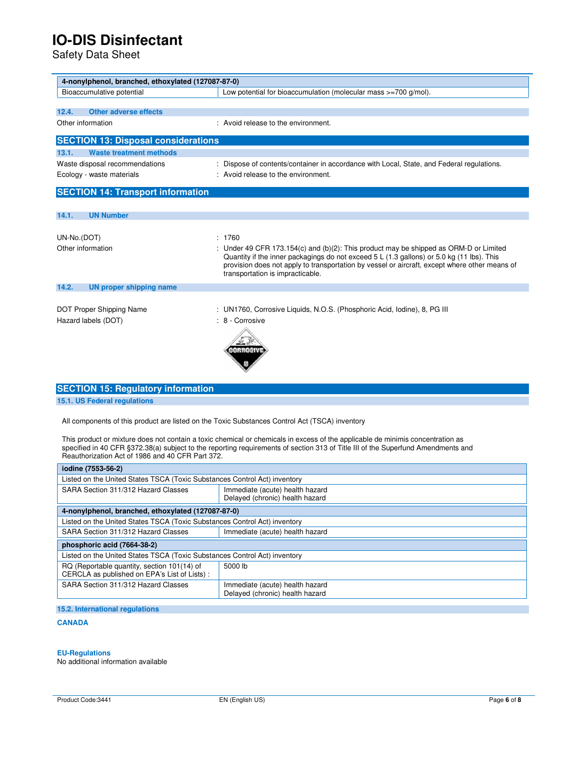Safety Data Sheet

| 4-nonylphenol, branched, ethoxylated (127087-87-0)                        |                                                                                                                                                                                                                                                                                                                         |
|---------------------------------------------------------------------------|-------------------------------------------------------------------------------------------------------------------------------------------------------------------------------------------------------------------------------------------------------------------------------------------------------------------------|
| Bioaccumulative potential                                                 | Low potential for bioaccumulation (molecular mass >=700 g/mol).                                                                                                                                                                                                                                                         |
|                                                                           |                                                                                                                                                                                                                                                                                                                         |
| <b>Other adverse effects</b><br>12.4.                                     |                                                                                                                                                                                                                                                                                                                         |
| Other information                                                         | : Avoid release to the environment.                                                                                                                                                                                                                                                                                     |
| <b>SECTION 13: Disposal considerations</b>                                |                                                                                                                                                                                                                                                                                                                         |
| <b>Waste treatment methods</b><br>13.1.                                   |                                                                                                                                                                                                                                                                                                                         |
| Waste disposal recommendations                                            | : Dispose of contents/container in accordance with Local, State, and Federal regulations.                                                                                                                                                                                                                               |
| Ecology - waste materials                                                 | : Avoid release to the environment.                                                                                                                                                                                                                                                                                     |
|                                                                           |                                                                                                                                                                                                                                                                                                                         |
| <b>SECTION 14: Transport information</b>                                  |                                                                                                                                                                                                                                                                                                                         |
|                                                                           |                                                                                                                                                                                                                                                                                                                         |
| <b>UN Number</b><br>14.1.                                                 |                                                                                                                                                                                                                                                                                                                         |
|                                                                           |                                                                                                                                                                                                                                                                                                                         |
| UN-No.(DOT)                                                               | : 1760                                                                                                                                                                                                                                                                                                                  |
| Other information                                                         | : Under 49 CFR 173.154(c) and (b)(2): This product may be shipped as ORM-D or Limited<br>Quantity if the inner packagings do not exceed 5 L (1.3 gallons) or 5.0 kg (11 lbs). This<br>provision does not apply to transportation by vessel or aircraft, except where other means of<br>transportation is impracticable. |
| 14.2.<br><b>UN proper shipping name</b>                                   |                                                                                                                                                                                                                                                                                                                         |
|                                                                           |                                                                                                                                                                                                                                                                                                                         |
| DOT Proper Shipping Name                                                  | : UN1760, Corrosive Liquids, N.O.S. (Phosphoric Acid, Iodine), 8, PG III                                                                                                                                                                                                                                                |
| Hazard labels (DOT)                                                       | : 8 - Corrosive                                                                                                                                                                                                                                                                                                         |
|                                                                           |                                                                                                                                                                                                                                                                                                                         |
| <b>SECTION 15: Regulatory information</b><br>15.1. US Federal regulations |                                                                                                                                                                                                                                                                                                                         |
|                                                                           |                                                                                                                                                                                                                                                                                                                         |

All components of this product are listed on the Toxic Substances Control Act (TSCA) inventory

This product or mixture does not contain a toxic chemical or chemicals in excess of the applicable de minimis concentration as specified in 40 CFR §372.38(a) subject to the reporting requirements of section 313 of Title III of the Superfund Amendments and Reauthorization Act of 1986 and 40 CFR Part 372.

| iodine (7553-56-2)                                                                          |                                                                    |
|---------------------------------------------------------------------------------------------|--------------------------------------------------------------------|
| Listed on the United States TSCA (Toxic Substances Control Act) inventory                   |                                                                    |
| SARA Section 311/312 Hazard Classes                                                         | Immediate (acute) health hazard<br>Delayed (chronic) health hazard |
| 4-nonylphenol, branched, ethoxylated (127087-87-0)                                          |                                                                    |
| Listed on the United States TSCA (Toxic Substances Control Act) inventory                   |                                                                    |
| SARA Section 311/312 Hazard Classes                                                         | Immediate (acute) health hazard                                    |
| phosphoric acid (7664-38-2)                                                                 |                                                                    |
| Listed on the United States TSCA (Toxic Substances Control Act) inventory                   |                                                                    |
| RQ (Reportable quantity, section 101(14) of<br>CERCLA as published on EPA's List of Lists): | 5000 lb                                                            |
| SARA Section 311/312 Hazard Classes                                                         | Immediate (acute) health hazard<br>Delayed (chronic) health hazard |
|                                                                                             |                                                                    |

### **15.2. International regulations**

### **CANADA**

#### **EU-Regulations**

No additional information available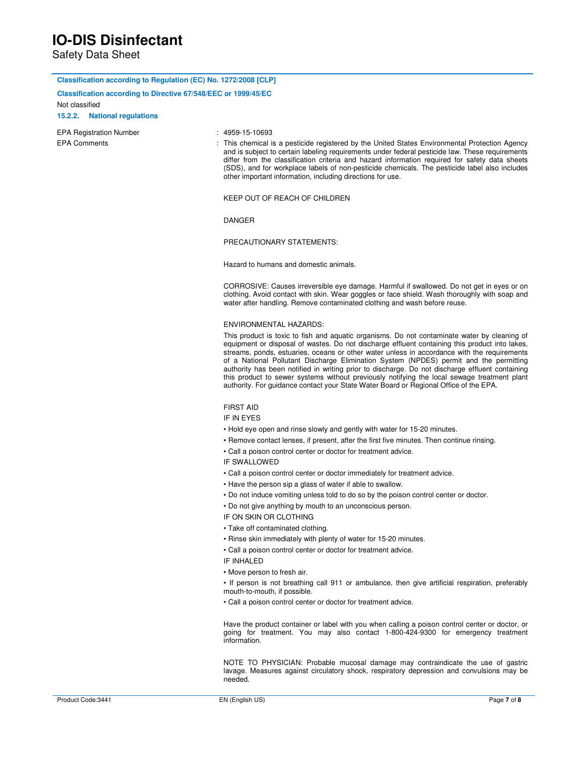Safety Data Sheet

| Classification according to Regulation (EC) No. 1272/2008 [CLP] |                                                                                                                                                                                                                                                                                                                                                                                                                                                                                                                                                                                                                                                                                    |
|-----------------------------------------------------------------|------------------------------------------------------------------------------------------------------------------------------------------------------------------------------------------------------------------------------------------------------------------------------------------------------------------------------------------------------------------------------------------------------------------------------------------------------------------------------------------------------------------------------------------------------------------------------------------------------------------------------------------------------------------------------------|
| Classification according to Directive 67/548/EEC or 1999/45/EC  |                                                                                                                                                                                                                                                                                                                                                                                                                                                                                                                                                                                                                                                                                    |
| Not classified                                                  |                                                                                                                                                                                                                                                                                                                                                                                                                                                                                                                                                                                                                                                                                    |
| 15.2.2. National regulations                                    |                                                                                                                                                                                                                                                                                                                                                                                                                                                                                                                                                                                                                                                                                    |
| <b>EPA Registration Number</b>                                  | $: 4959 - 15 - 10693$                                                                                                                                                                                                                                                                                                                                                                                                                                                                                                                                                                                                                                                              |
| <b>EPA Comments</b>                                             | : This chemical is a pesticide registered by the United States Environmental Protection Agency<br>and is subject to certain labeling requirements under federal pesticide law. These requirements<br>differ from the classification criteria and hazard information required for safety data sheets<br>(SDS), and for workplace labels of non-pesticide chemicals. The pesticide label also includes<br>other important information, including directions for use.                                                                                                                                                                                                                 |
|                                                                 | KEEP OUT OF REACH OF CHILDREN                                                                                                                                                                                                                                                                                                                                                                                                                                                                                                                                                                                                                                                      |
|                                                                 | DANGER                                                                                                                                                                                                                                                                                                                                                                                                                                                                                                                                                                                                                                                                             |
|                                                                 | PRECAUTIONARY STATEMENTS:                                                                                                                                                                                                                                                                                                                                                                                                                                                                                                                                                                                                                                                          |
|                                                                 | Hazard to humans and domestic animals.                                                                                                                                                                                                                                                                                                                                                                                                                                                                                                                                                                                                                                             |
|                                                                 | CORROSIVE: Causes irreversible eye damage. Harmful if swallowed. Do not get in eyes or on<br>clothing. Avoid contact with skin. Wear goggles or face shield. Wash thoroughly with soap and<br>water after handling. Remove contaminated clothing and wash before reuse.                                                                                                                                                                                                                                                                                                                                                                                                            |
|                                                                 | <b>ENVIRONMENTAL HAZARDS:</b>                                                                                                                                                                                                                                                                                                                                                                                                                                                                                                                                                                                                                                                      |
|                                                                 | This product is toxic to fish and aquatic organisms. Do not contaminate water by cleaning of<br>equipment or disposal of wastes. Do not discharge effluent containing this product into lakes,<br>streams, ponds, estuaries, oceans or other water unless in accordance with the requirements<br>of a National Pollutant Discharge Elimination System (NPDES) permit and the permitting<br>authority has been notified in writing prior to discharge. Do not discharge effluent containing<br>this product to sewer systems without previously notifying the local sewage treatment plant<br>authority. For guidance contact your State Water Board or Regional Office of the EPA. |
|                                                                 | <b>FIRST AID</b>                                                                                                                                                                                                                                                                                                                                                                                                                                                                                                                                                                                                                                                                   |
|                                                                 | IF IN EYES                                                                                                                                                                                                                                                                                                                                                                                                                                                                                                                                                                                                                                                                         |
|                                                                 | • Hold eye open and rinse slowly and gently with water for 15-20 minutes.                                                                                                                                                                                                                                                                                                                                                                                                                                                                                                                                                                                                          |
|                                                                 | • Remove contact lenses, if present, after the first five minutes. Then continue rinsing.                                                                                                                                                                                                                                                                                                                                                                                                                                                                                                                                                                                          |
|                                                                 | • Call a poison control center or doctor for treatment advice.                                                                                                                                                                                                                                                                                                                                                                                                                                                                                                                                                                                                                     |
|                                                                 | <b>IF SWALLOWED</b>                                                                                                                                                                                                                                                                                                                                                                                                                                                                                                                                                                                                                                                                |
|                                                                 | • Call a poison control center or doctor immediately for treatment advice.                                                                                                                                                                                                                                                                                                                                                                                                                                                                                                                                                                                                         |
|                                                                 | • Have the person sip a glass of water if able to swallow.                                                                                                                                                                                                                                                                                                                                                                                                                                                                                                                                                                                                                         |
|                                                                 | . Do not induce vomiting unless told to do so by the poison control center or doctor.                                                                                                                                                                                                                                                                                                                                                                                                                                                                                                                                                                                              |
|                                                                 | • Do not give anything by mouth to an unconscious person.                                                                                                                                                                                                                                                                                                                                                                                                                                                                                                                                                                                                                          |
|                                                                 | IF ON SKIN OR CLOTHING                                                                                                                                                                                                                                                                                                                                                                                                                                                                                                                                                                                                                                                             |
|                                                                 | • Take off contaminated clothing.                                                                                                                                                                                                                                                                                                                                                                                                                                                                                                                                                                                                                                                  |
|                                                                 | • Rinse skin immediately with plenty of water for 15-20 minutes.                                                                                                                                                                                                                                                                                                                                                                                                                                                                                                                                                                                                                   |
|                                                                 | • Call a poison control center or doctor for treatment advice.<br>IF INHALED                                                                                                                                                                                                                                                                                                                                                                                                                                                                                                                                                                                                       |
|                                                                 | • Move person to fresh air.                                                                                                                                                                                                                                                                                                                                                                                                                                                                                                                                                                                                                                                        |
|                                                                 | • If person is not breathing call 911 or ambulance, then give artificial respiration, preferably<br>mouth-to-mouth, if possible.                                                                                                                                                                                                                                                                                                                                                                                                                                                                                                                                                   |
|                                                                 | • Call a poison control center or doctor for treatment advice.                                                                                                                                                                                                                                                                                                                                                                                                                                                                                                                                                                                                                     |
|                                                                 | Have the product container or label with you when calling a poison control center or doctor, or<br>going for treatment. You may also contact 1-800-424-9300 for emergency treatment<br>information.                                                                                                                                                                                                                                                                                                                                                                                                                                                                                |
|                                                                 | NOTE TO PHYSICIAN: Probable mucosal damage may contraindicate the use of gastric<br>lavage. Measures against circulatory shock, respiratory depression and convulsions may be<br>needed.                                                                                                                                                                                                                                                                                                                                                                                                                                                                                           |
| Product Code: 3441                                              | Page 7 of 8                                                                                                                                                                                                                                                                                                                                                                                                                                                                                                                                                                                                                                                                        |
|                                                                 | EN (English US)                                                                                                                                                                                                                                                                                                                                                                                                                                                                                                                                                                                                                                                                    |